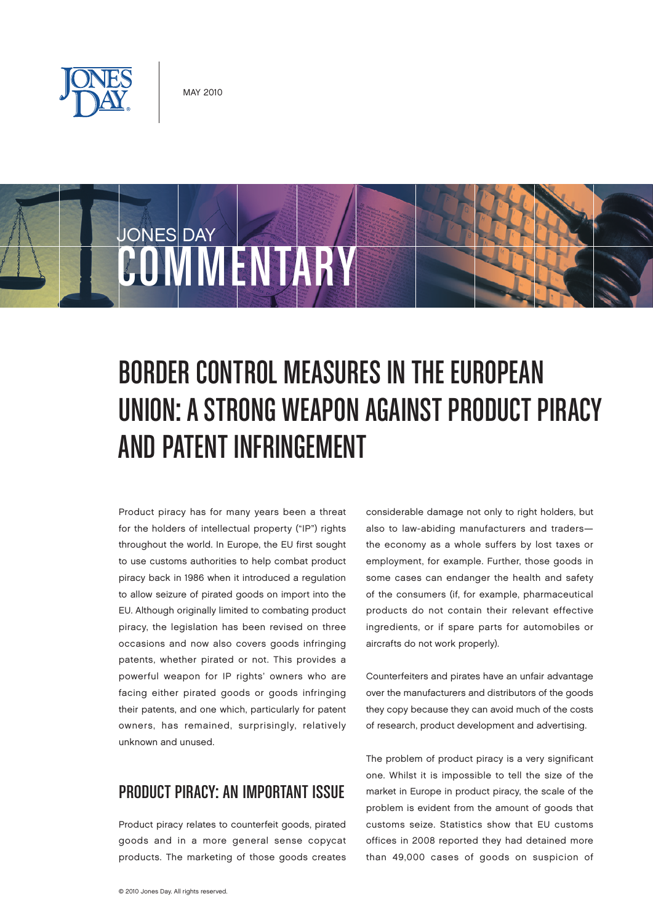

COWM SYSTEM

JONES DAY

# Border Control Measures inthe European

## UNION: A STRONG WEAPON AGAINST PRODUCT PIRACY and Patent Infringement

Product piracy has for many years been a threat for the holders of intellectual property ("IP") rights throughout the world. In Europe, the EU first sought to use customs authorities to help combat product piracy back in 1986 when it introduced a regulation to allow seizure of pirated goods on import into the EU. Although originally limited to combating product piracy, the legislation has been revised on three occasions and now also covers goods infringing patents, whether pirated or not. This provides a powerful weapon for IP rights' owners who are facing either pirated goods or goods infringing their patents, and one which, particularly for patent owners, has remained, surprisingly, relatively unknown and unused.

### PRODUCT PIRACY: AN IMPORTANT ISSUE

Product piracy relates to counterfeit goods, pirated goods and in a more general sense copycat products. The marketing of those goods creates

considerable damage not only to right holders, but also to law-abiding manufacturers and traders the economy as a whole suffers by lost taxes or employment, for example. Further, those goods in some cases can endanger the health and safety of the consumers (if, for example, pharmaceutical products do not contain their relevant effective ingredients, or if spare parts for automobiles or aircrafts do not work properly).

Counterfeiters and pirates have an unfair advantage over the manufacturers and distributors of the goods they copy because they can avoid much of the costs of research, product development and advertising.

The problem of product piracy is a very significant one. Whilst it is impossible to tell the size of the market in Europe in product piracy, the scale of the problem is evident from the amount of goods that customs seize. Statistics show that EU customs offices in 2008 reported they had detained more than 49,000 cases of goods on suspicion of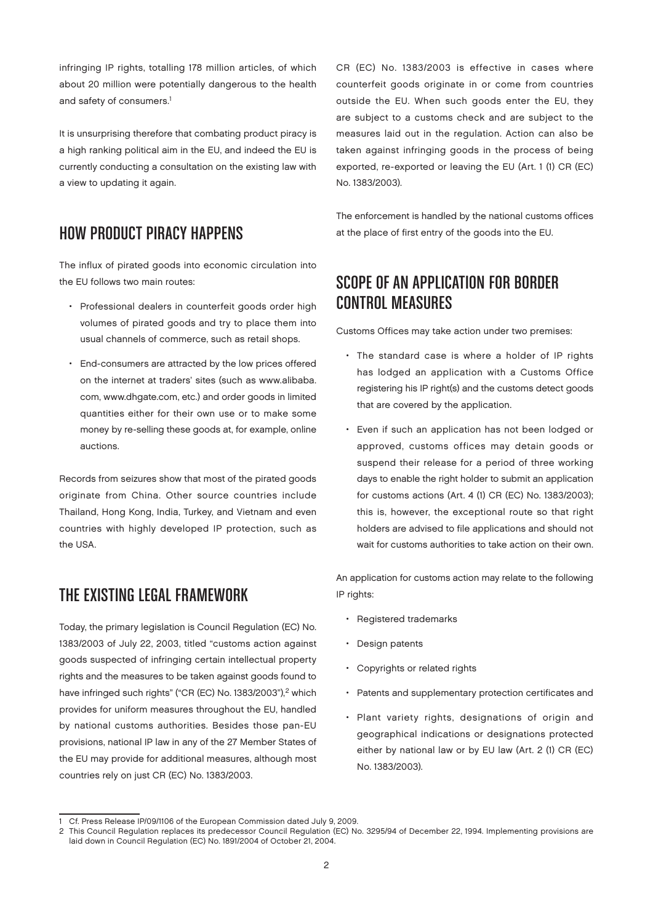infringing IP rights, totalling 178 million articles, of which about 20 million were potentially dangerous to the health and safety of consumers.<sup>1</sup>

It is unsurprising therefore that combating product piracy is a high ranking political aim in the EU, and indeed the EU is currently conducting a consultation on the existing law with a view to updating it again.

#### HOW PRODUCT PIRACY HAPPENS

The influx of pirated goods into economic circulation into the EU follows two main routes:

- Professional dealers in counterfeit goods order high volumes of pirated goods and try to place them into usual channels of commerce, such as retail shops.
- End-consumers are attracted by the low prices offered on the internet at traders' sites (such as [www.alibaba.](http://www.alibaba) com, [www.dhgate.com,](http://www.dhgate.com) etc.) and order goods in limited quantities either for their own use or to make some money by re-selling these goods at, for example, online auctions.

Records from seizures show that most of the pirated goods originate from China. Other source countries include Thailand, Hong Kong, India, Turkey, and Vietnam and even countries with highly developed IP protection, such as the USA.

#### The Existing Legal Framework

Today, the primary legislation is Council Regulation (EC) No. 1383/2003 of July 22, 2003, titled "customs action against goods suspected of infringing certain intellectual property rights and the measures to be taken against goods found to have infringed such rights" ("CR (EC) No. 1383/2003"),<sup>2</sup> which provides for uniform measures throughout the EU, handled by national customs authorities. Besides those pan-EU provisions, national IP law in any of the 27 Member States of the EU may provide for additional measures, although most countries rely on just CR (EC) No. 1383/2003.

CR (EC) No. 1383/2003 is effective in cases where counterfeit goods originate in or come from countries outside the EU. When such goods enter the EU, they are subject to a customs check and are subject to the measures laid out in the regulation. Action can also be taken against infringing goods in the process of being exported, re-exported or leaving the EU (Art. 1 (1) CR (EC) No. 1383/2003).

The enforcement is handled by the national customs offices at the place of first entry of the goods into the EU.

#### SCOPE OF AN APPLICATION FOR BORDER CONTROL MEASURES

Customs Offices may take action under two premises:

- The standard case is where a holder of IP rights has lodged an application with a Customs Office registering his IP right(s) and the customs detect goods that are covered by the application.
- Even if such an application has not been lodged or approved, customs offices may detain goods or suspend their release for a period of three working days to enable the right holder to submit an application for customs actions (Art. 4 (1) CR (EC) No. 1383/2003); this is, however, the exceptional route so that right holders are advised to file applications and should not wait for customs authorities to take action on their own.

An application for customs action may relate to the following IP rights:

- Registered trademarks
- Design patents
- Copyrights or related rights
- Patents and supplementary protection certificates and
- Plant variety rights, designations of origin and geographical indications or designations protected either by national law or by EU law (Art. 2 (1) CR (EC) No. 1383/2003).

<sup>1</sup> Cf. Press Release IP/09/1106 of the European Commission dated July 9, 2009.

<sup>2</sup> This Council Regulation replaces its predecessor Council Regulation (EC) No. 3295/94 of December 22, 1994. Implementing provisions are laid down in Council Regulation (EC) No. 1891/2004 of October 21, 2004.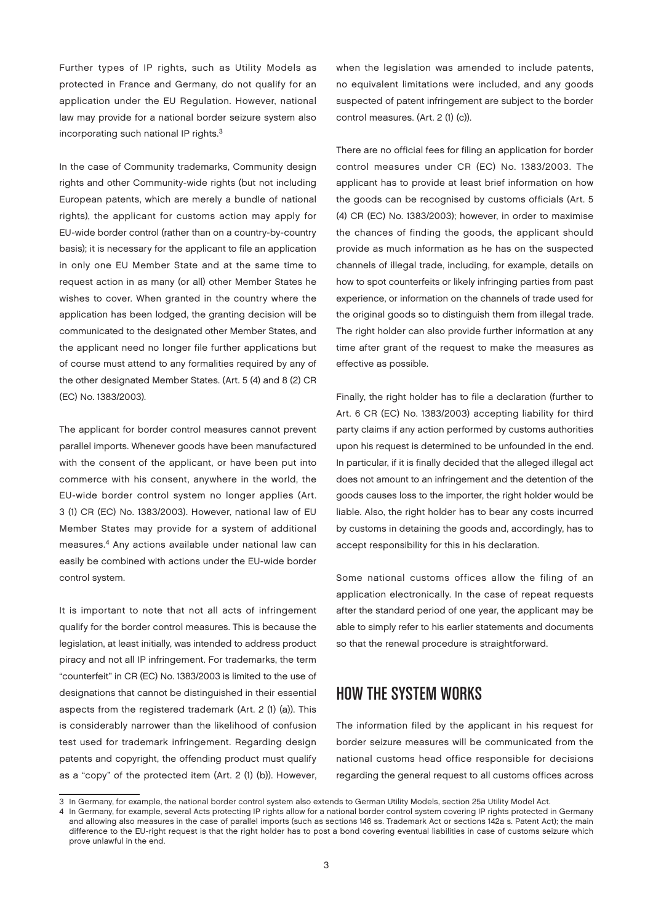Further types of IP rights, such as Utility Models as protected in France and Germany, do not qualify for an application under the EU Regulation. However, national law may provide for a national border seizure system also incorporating such national IP rights.3

In the case of Community trademarks, Community design rights and other Community-wide rights (but not including European patents, which are merely a bundle of national rights), the applicant for customs action may apply for EU-wide border control (rather than on a country-by-country basis); it is necessary for the applicant to file an application in only one EU Member State and at the same time to request action in as many (or all) other Member States he wishes to cover. When granted in the country where the application has been lodged, the granting decision will be communicated to the designated other Member States, and the applicant need no longer file further applications but of course must attend to any formalities required by any of the other designated Member States. (Art. 5 (4) and 8 (2) CR (EC) No. 1383/2003).

The applicant for border control measures cannot prevent parallel imports. Whenever goods have been manufactured with the consent of the applicant, or have been put into commerce with his consent, anywhere in the world, the EU-wide border control system no longer applies (Art. 3 (1) CR (EC) No. 1383/2003). However, national law of EU Member States may provide for a system of additional measures.4 Any actions available under national law can easily be combined with actions under the EU-wide border control system.

It is important to note that not all acts of infringement qualify for the border control measures. This is because the legislation, at least initially, was intended to address product piracy and not all IP infringement. For trademarks, the term "counterfeit" in CR (EC) No. 1383/2003 is limited to the use of designations that cannot be distinguished in their essential aspects from the registered trademark (Art. 2 (1) (a)). This is considerably narrower than the likelihood of confusion test used for trademark infringement. Regarding design patents and copyright, the offending product must qualify as a "copy" of the protected item (Art. 2 (1) (b)). However,

when the legislation was amended to include patents, no equivalent limitations were included, and any goods suspected of patent infringement are subject to the border control measures. (Art. 2 (1) (c)).

There are no official fees for filing an application for border control measures under CR (EC) No. 1383/2003. The applicant has to provide at least brief information on how the goods can be recognised by customs officials (Art. 5 (4) CR (EC) No. 1383/2003); however, in order to maximise the chances of finding the goods, the applicant should provide as much information as he has on the suspected channels of illegal trade, including, for example, details on how to spot counterfeits or likely infringing parties from past experience, or information on the channels of trade used for the original goods so to distinguish them from illegal trade. The right holder can also provide further information at any time after grant of the request to make the measures as effective as possible.

Finally, the right holder has to file a declaration (further to Art. 6 CR (EC) No. 1383/2003) accepting liability for third party claims if any action performed by customs authorities upon his request is determined to be unfounded in the end. In particular, if it is finally decided that the alleged illegal act does not amount to an infringement and the detention of the goods causes loss to the importer, the right holder would be liable. Also, the right holder has to bear any costs incurred by customs in detaining the goods and, accordingly, has to accept responsibility for this in his declaration.

Some national customs offices allow the filing of an application electronically. In the case of repeat requests after the standard period of one year, the applicant may be able to simply refer to his earlier statements and documents so that the renewal procedure is straightforward.

#### How the System Works

The information filed by the applicant in his request for border seizure measures will be communicated from the national customs head office responsible for decisions regarding the general request to all customs offices across

<sup>3</sup> In Germany, for example, the national border control system also extends to German Utility Models, section 25a Utility Model Act.

<sup>4</sup> In Germany, for example, several Acts protecting IP rights allow for a national border control system covering IP rights protected in Germany and allowing also measures in the case of parallel imports (such as sections 146 ss. Trademark Act or sections 142a s. Patent Act); the main difference to the EU-right request is that the right holder has to post a bond covering eventual liabilities in case of customs seizure which prove unlawful in the end.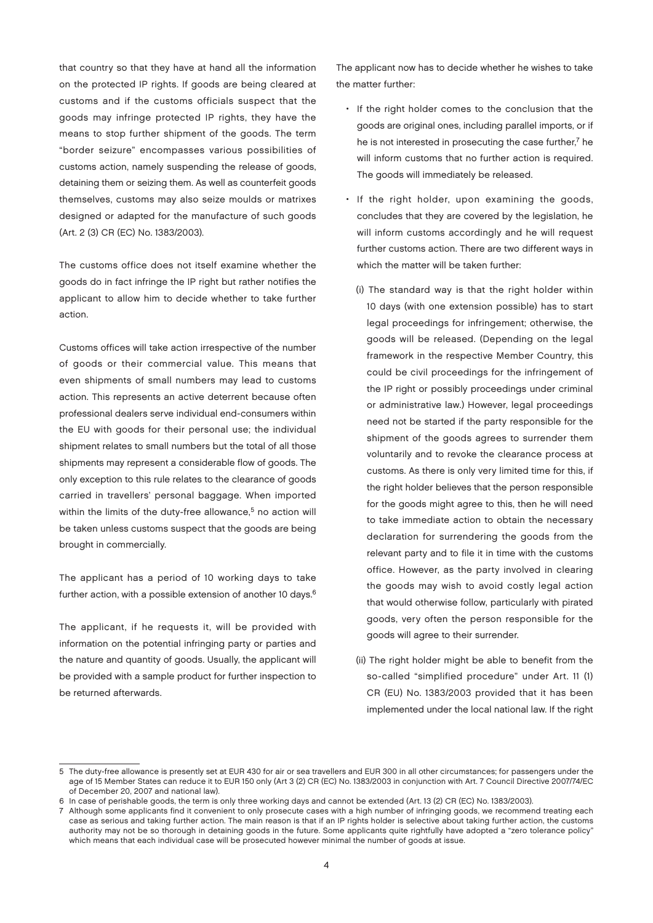that country so that they have at hand all the information on the protected IP rights. If goods are being cleared at customs and if the customs officials suspect that the goods may infringe protected IP rights, they have the means to stop further shipment of the goods. The term "border seizure" encompasses various possibilities of customs action, namely suspending the release of goods, detaining them or seizing them. As well as counterfeit goods themselves, customs may also seize moulds or matrixes designed or adapted for the manufacture of such goods (Art. 2 (3) CR (EC) No. 1383/2003).

The customs office does not itself examine whether the goods do in fact infringe the IP right but rather notifies the applicant to allow him to decide whether to take further action.

Customs offices will take action irrespective of the number of goods or their commercial value. This means that even shipments of small numbers may lead to customs action. This represents an active deterrent because often professional dealers serve individual end-consumers within the EU with goods for their personal use; the individual shipment relates to small numbers but the total of all those shipments may represent a considerable flow of goods. The only exception to this rule relates to the clearance of goods carried in travellers' personal baggage. When imported within the limits of the duty-free allowance,<sup>5</sup> no action will be taken unless customs suspect that the goods are being brought in commercially.

The applicant has a period of 10 working days to take further action, with a possible extension of another 10 days.<sup>6</sup>

The applicant, if he requests it, will be provided with information on the potential infringing party or parties and the nature and quantity of goods. Usually, the applicant will be provided with a sample product for further inspection to be returned afterwards.

The applicant now has to decide whether he wishes to take the matter further:

- If the right holder comes to the conclusion that the goods are original ones, including parallel imports, or if he is not interested in prosecuting the case further, $<sup>7</sup>$  he</sup> will inform customs that no further action is required. The goods will immediately be released.
- If the right holder, upon examining the goods, concludes that they are covered by the legislation, he will inform customs accordingly and he will request further customs action. There are two different ways in which the matter will be taken further:
	- (i) The standard way is that the right holder within 10 days (with one extension possible) has to start legal proceedings for infringement; otherwise, the goods will be released. (Depending on the legal framework in the respective Member Country, this could be civil proceedings for the infringement of the IP right or possibly proceedings under criminal or administrative law.) However, legal proceedings need not be started if the party responsible for the shipment of the goods agrees to surrender them voluntarily and to revoke the clearance process at customs. As there is only very limited time for this, if the right holder believes that the person responsible for the goods might agree to this, then he will need to take immediate action to obtain the necessary declaration for surrendering the goods from the relevant party and to file it in time with the customs office. However, as the party involved in clearing the goods may wish to avoid costly legal action that would otherwise follow, particularly with pirated goods, very often the person responsible for the goods will agree to their surrender.
	- (ii) The right holder might be able to benefit from the so-called "simplified procedure" under Art. 11 (1) CR (EU) No. 1383/2003 provided that it has been implemented under the local national law. If the right

<sup>5</sup> The duty-free allowance is presently set at EUR 430 for air or sea travellers and EUR 300 in all other circumstances; for passengers under the age of 15 Member States can reduce it to EUR 150 only (Art 3 (2) CR (EC) No. 1383/2003 in conjunction with Art. 7 Council Directive 2007/74/EC of December 20, 2007 and national law).

<sup>6</sup> In case of perishable goods, the term is only three working days and cannot be extended (Art. 13 (2) CR (EC) No. 1383/2003).

<sup>7</sup> Although some applicants find it convenient to only prosecute cases with a high number of infringing goods, we recommend treating each case as serious and taking further action. The main reason is that if an IP rights holder is selective about taking further action, the customs authority may not be so thorough in detaining goods in the future. Some applicants quite rightfully have adopted a "zero tolerance policy" which means that each individual case will be prosecuted however minimal the number of goods at issue.